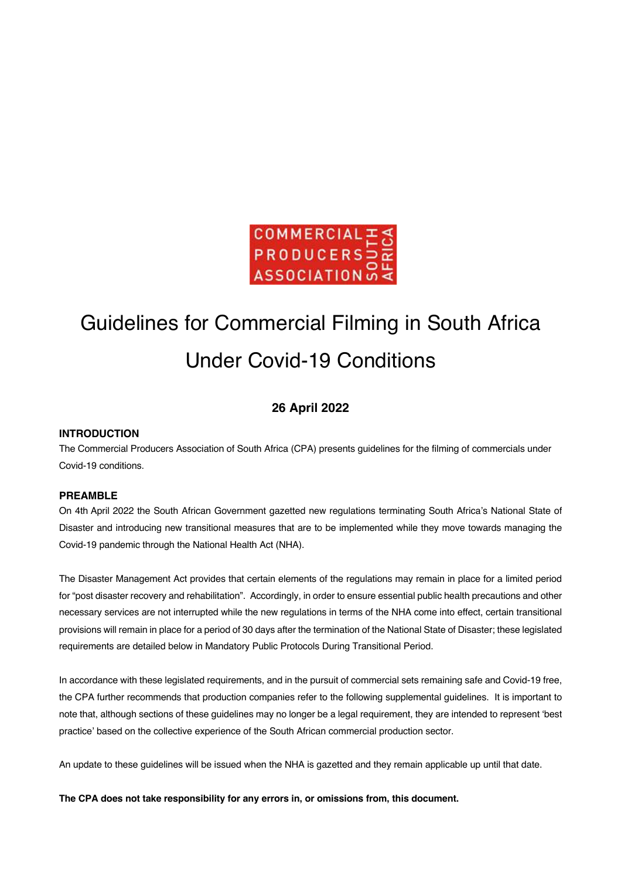

# Guidelines for Commercial Filming in South Africa Under Covid-19 Conditions

# **26 April 2022**

# **INTRODUCTION**

The Commercial Producers Association of South Africa (CPA) presents guidelines for the filming of commercials under Covid-19 conditions.

# **PREAMBLE**

On 4th April 2022 the South African Government gazetted new regulations terminating South Africa's National State of Disaster and introducing new transitional measures that are to be implemented while they move towards managing the Covid-19 pandemic through the National Health Act (NHA).

The Disaster Management Act provides that certain elements of the regulations may remain in place for a limited period for "post disaster recovery and rehabilitation". Accordingly, in order to ensure essential public health precautions and other necessary services are not interrupted while the new regulations in terms of the NHA come into effect, certain transitional provisions will remain in place for a period of 30 days after the termination of the National State of Disaster; these legislated requirements are detailed below in Mandatory Public Protocols During Transitional Period.

In accordance with these legislated requirements, and in the pursuit of commercial sets remaining safe and Covid-19 free, the CPA further recommends that production companies refer to the following supplemental guidelines. It is important to note that, although sections of these guidelines may no longer be a legal requirement, they are intended to represent 'best practice' based on the collective experience of the South African commercial production sector.

An update to these guidelines will be issued when the NHA is gazetted and they remain applicable up until that date.

**The CPA does not take responsibility for any errors in, or omissions from, this document.**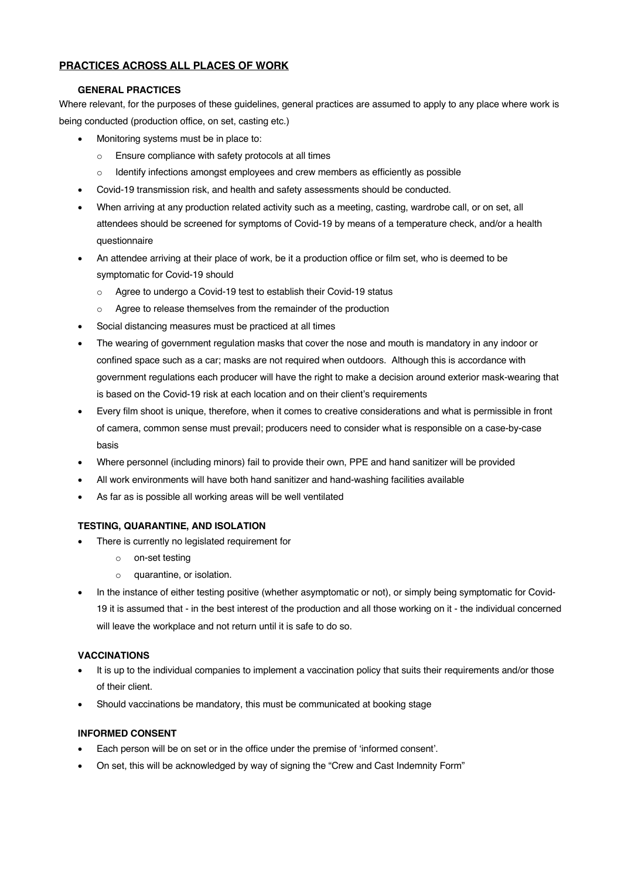# **PRACTICES ACROSS ALL PLACES OF WORK**

# **GENERAL PRACTICES**

Where relevant, for the purposes of these guidelines, general practices are assumed to apply to any place where work is being conducted (production office, on set, casting etc.)

- Monitoring systems must be in place to:
	- o Ensure compliance with safety protocols at all times
	- $\circ$  Identify infections amongst employees and crew members as efficiently as possible
- Covid-19 transmission risk, and health and safety assessments should be conducted.
- When arriving at any production related activity such as a meeting, casting, wardrobe call, or on set, all attendees should be screened for symptoms of Covid-19 by means of a temperature check, and/or a health questionnaire
- An attendee arriving at their place of work, be it a production office or film set, who is deemed to be symptomatic for Covid-19 should
	- o Agree to undergo a Covid-19 test to establish their Covid-19 status
	- o Agree to release themselves from the remainder of the production
- Social distancing measures must be practiced at all times
- The wearing of government regulation masks that cover the nose and mouth is mandatory in any indoor or confined space such as a car; masks are not required when outdoors. Although this is accordance with government regulations each producer will have the right to make a decision around exterior mask-wearing that is based on the Covid-19 risk at each location and on their client's requirements
- Every film shoot is unique, therefore, when it comes to creative considerations and what is permissible in front of camera, common sense must prevail; producers need to consider what is responsible on a case-by-case basis
- Where personnel (including minors) fail to provide their own, PPE and hand sanitizer will be provided
- All work environments will have both hand sanitizer and hand-washing facilities available
- As far as is possible all working areas will be well ventilated

# **TESTING, QUARANTINE, AND ISOLATION**

- There is currently no legislated requirement for
	- o on-set testing
	- o quarantine, or isolation.
- In the instance of either testing positive (whether asymptomatic or not), or simply being symptomatic for Covid-19 it is assumed that - in the best interest of the production and all those working on it - the individual concerned will leave the workplace and not return until it is safe to do so.

# **VACCINATIONS**

- It is up to the individual companies to implement a vaccination policy that suits their requirements and/or those of their client.
- Should vaccinations be mandatory, this must be communicated at booking stage

# **INFORMED CONSENT**

- Each person will be on set or in the office under the premise of 'informed consent'.
- On set, this will be acknowledged by way of signing the "Crew and Cast Indemnity Form"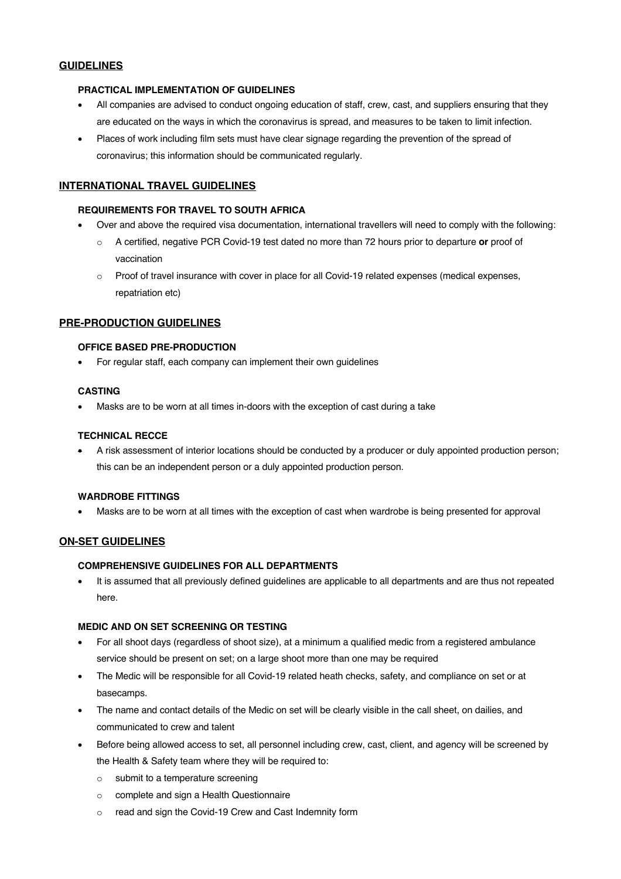# **GUIDELINES**

# **PRACTICAL IMPLEMENTATION OF GUIDELINES**

- All companies are advised to conduct ongoing education of staff, crew, cast, and suppliers ensuring that they are educated on the ways in which the coronavirus is spread, and measures to be taken to limit infection.
- Places of work including film sets must have clear signage regarding the prevention of the spread of coronavirus; this information should be communicated regularly.

# **INTERNATIONAL TRAVEL GUIDELINES**

## **REQUIREMENTS FOR TRAVEL TO SOUTH AFRICA**

- Over and above the required visa documentation, international travellers will need to comply with the following:
	- o A certified, negative PCR Covid-19 test dated no more than 72 hours prior to departure **or** proof of vaccination
	- $\circ$  Proof of travel insurance with cover in place for all Covid-19 related expenses (medical expenses, repatriation etc)

# **PRE-PRODUCTION GUIDELINES**

#### **OFFICE BASED PRE-PRODUCTION**

• For regular staff, each company can implement their own guidelines

## **CASTING**

• Masks are to be worn at all times in-doors with the exception of cast during a take

## **TECHNICAL RECCE**

• A risk assessment of interior locations should be conducted by a producer or duly appointed production person; this can be an independent person or a duly appointed production person.

#### **WARDROBE FITTINGS**

• Masks are to be worn at all times with the exception of cast when wardrobe is being presented for approval

# **ON-SET GUIDELINES**

# **COMPREHENSIVE GUIDELINES FOR ALL DEPARTMENTS**

• It is assumed that all previously defined guidelines are applicable to all departments and are thus not repeated here.

# **MEDIC AND ON SET SCREENING OR TESTING**

- For all shoot days (regardless of shoot size), at a minimum a qualified medic from a registered ambulance service should be present on set; on a large shoot more than one may be required
- The Medic will be responsible for all Covid-19 related heath checks, safety, and compliance on set or at basecamps.
- The name and contact details of the Medic on set will be clearly visible in the call sheet, on dailies, and communicated to crew and talent
- Before being allowed access to set, all personnel including crew, cast, client, and agency will be screened by the Health & Safety team where they will be required to:
	- o submit to a temperature screening
	- o complete and sign a Health Questionnaire
	- o read and sign the Covid-19 Crew and Cast Indemnity form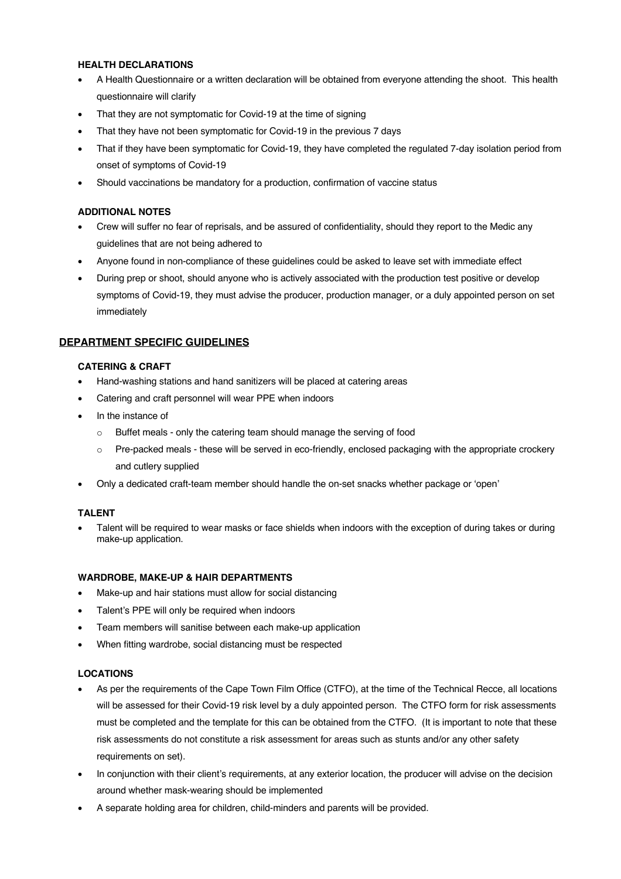# **HEALTH DECLARATIONS**

- A Health Questionnaire or a written declaration will be obtained from everyone attending the shoot. This health questionnaire will clarify
- That they are not symptomatic for Covid-19 at the time of signing
- That they have not been symptomatic for Covid-19 in the previous 7 days
- That if they have been symptomatic for Covid-19, they have completed the regulated 7-day isolation period from onset of symptoms of Covid-19
- Should vaccinations be mandatory for a production, confirmation of vaccine status

# **ADDITIONAL NOTES**

- Crew will suffer no fear of reprisals, and be assured of confidentiality, should they report to the Medic any guidelines that are not being adhered to
- Anyone found in non-compliance of these guidelines could be asked to leave set with immediate effect
- During prep or shoot, should anyone who is actively associated with the production test positive or develop symptoms of Covid-19, they must advise the producer, production manager, or a duly appointed person on set immediately

# **DEPARTMENT SPECIFIC GUIDELINES**

# **CATERING & CRAFT**

- Hand-washing stations and hand sanitizers will be placed at catering areas
- Catering and craft personnel will wear PPE when indoors
- In the instance of
	- o Buffet meals only the catering team should manage the serving of food
	- o Pre-packed meals these will be served in eco-friendly, enclosed packaging with the appropriate crockery and cutlery supplied
- Only a dedicated craft-team member should handle the on-set snacks whether package or 'open'

# **TALENT**

• Talent will be required to wear masks or face shields when indoors with the exception of during takes or during make-up application.

# **WARDROBE, MAKE-UP & HAIR DEPARTMENTS**

- Make-up and hair stations must allow for social distancing
- Talent's PPE will only be required when indoors
- Team members will sanitise between each make-up application
- When fitting wardrobe, social distancing must be respected

# **LOCATIONS**

- As per the requirements of the Cape Town Film Office (CTFO), at the time of the Technical Recce, all locations will be assessed for their Covid-19 risk level by a duly appointed person. The CTFO form for risk assessments must be completed and the template for this can be obtained from the CTFO. (It is important to note that these risk assessments do not constitute a risk assessment for areas such as stunts and/or any other safety requirements on set).
- In conjunction with their client's requirements, at any exterior location, the producer will advise on the decision around whether mask-wearing should be implemented
- A separate holding area for children, child-minders and parents will be provided.